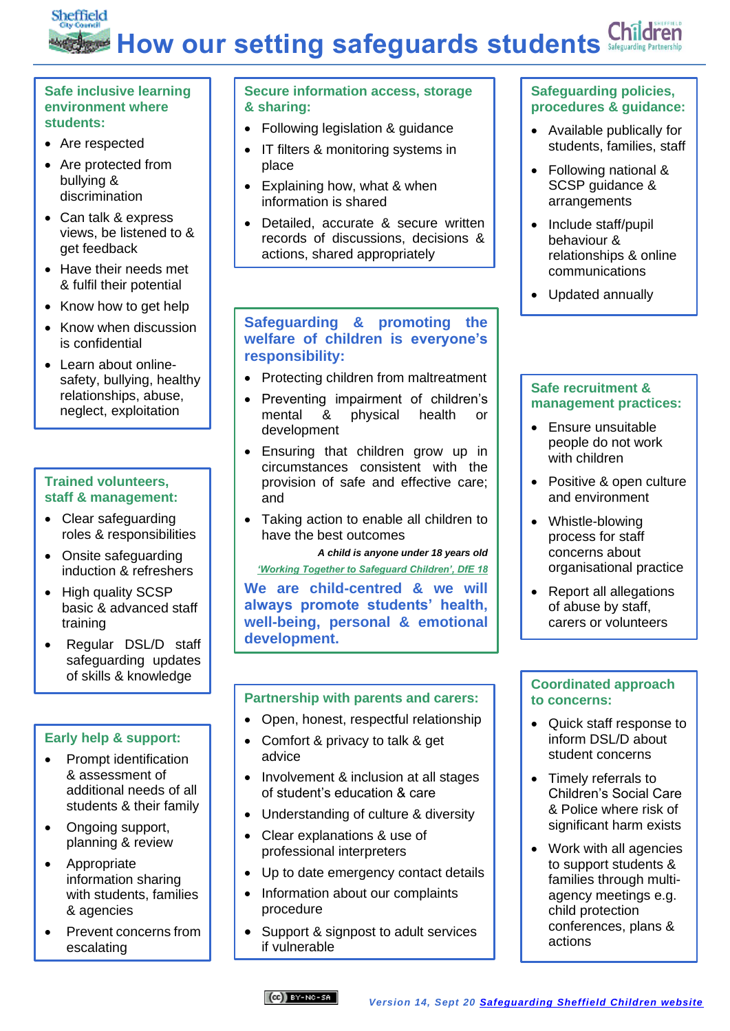# Sheffield **Children How our setting safeguards students**  $\frac{1}{2}$

#### **Safe inclusive learning environment where students:**

- Are respected
- Are protected from bullying & discrimination
- Can talk & express views, be listened to & get feedback
- Have their needs met & fulfil their potential
- Know how to get help
- Know when discussion is confidential
- Learn about onlinesafety, bullying, healthy relationships, abuse, neglect, exploitation

### **Trained volunteers, staff & management:**

- Clear safeguarding roles & responsibilities
- Onsite safeguarding induction & refreshers
- High quality SCSP basic & advanced staff training
- Regular DSL/D staff safeguarding updates of skills & knowledge

### **Early help & support:**

- Prompt identification & assessment of additional needs of all students & their family
- Ongoing support, planning & review
- Appropriate information sharing with students, families & agencies
- Prevent concerns from escalating

### **Secure information access, storage & sharing:**

- Following legislation & guidance
- IT filters & monitoring systems in place
- Explaining how, what & when information is shared
- Detailed, accurate & secure written records of discussions, decisions & actions, shared appropriately

### **Safeguarding & promoting the welfare of children is everyone's responsibility:**

- Protecting children from maltreatment
- Preventing impairment of children's mental & physical health or development
- Ensuring that children grow up in circumstances consistent with the provision of safe and effective care; and
- Taking action to enable all children to have the best outcomes

*A child is anyone under 18 years old ['Working Together to Safeguard Children', DfE 18](https://assets.publishing.service.gov.uk/government/uploads/system/uploads/attachment_data/file/779401/Working_Together_to_Safeguard-Children.pdf)*

**We are child-centred & we will always promote students' health, well-being, personal & emotional development.**

### **Partnership with parents and carers:**

- Open, honest, respectful relationship
- Comfort & privacy to talk & get advice
- Involvement & inclusion at all stages of student's education & care
- Understanding of culture & diversity
- Clear explanations & use of professional interpreters
- Up to date emergency contact details
- Information about our complaints procedure
- Support & signpost to adult services if vulnerable

## **Safeguarding policies, procedures & guidance:**

- Available publically for students, families, staff
- Following national & SCSP guidance & arrangements
- Include staff/pupil behaviour & relationships & online communications
- Updated annually

#### **Safe recruitment & management practices:**

- Ensure unsuitable people do not work with children
- Positive & open culture and environment
- Whistle-blowing process for staff concerns about organisational practice
- Report all allegations of abuse by staff, carers or volunteers

#### **Coordinated approach to concerns:**

- Quick staff response to inform DSL/D about student concerns
- Timely referrals to Children's Social Care & Police where risk of significant harm exists
- Work with all agencies to support students & families through multiagency meetings e.g. child protection conferences, plans & actions